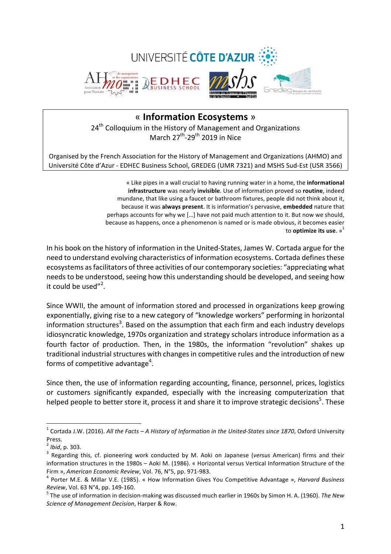

# « **Information Ecosystems** » 24<sup>th</sup> Colloquium in the History of Management and Organizations March  $27^{th}$ -29<sup>th</sup> 2019 in Nice

Organised by the French Association for the History of Management and Organizations (AHMO) and Université Côte d'Azur - EDHEC Business School, GREDEG (UMR 7321) and MSHS Sud-Est (USR 3566)

> « Like pipes in a wall crucial to having running water in a home, the **informational infrastructure** was nearly **invisible**. Use of information proved so routine, indeed mundane, that like using a faucet or bathroom fixtures, people did not think about it, because it was **always present**. It is information's pervasive, **embedded** nature that perhaps accounts for why we [...] have not paid much attention to it. But now we should, because as happens, once a phenomenon is named or is made obvious, it becomes easier to **optimize** its use. »<sup>1</sup>

In his book on the history of information in the United-States, James W. Cortada argue for the need to understand evolving characteristics of information ecosystems. Cortada defines these ecosystems as facilitators of three activities of our contemporary societies: "appreciating what needs to be understood, seeing how this understanding should be developed, and seeing how it could be used"<sup>2</sup>.

Since WWII, the amount of information stored and processed in organizations keep growing exponentially, giving rise to a new category of "knowledge workers" performing in horizontal information structures<sup>3</sup>. Based on the assumption that each firm and each industry develops idiosyncratic knowledge, 1970s organization and strategy scholars introduce information as a fourth factor of production. Then, in the 1980s, the information "revolution" shakes up traditional industrial structures with changes in competitive rules and the introduction of new forms of competitive advantage<sup>4</sup>.

Since then, the use of information regarding accounting, finance, personnel, prices, logistics or customers significantly expanded, especially with the increasing computerization that helped people to better store it, process it and share it to improve strategic decisions<sup>5</sup>. These

<sup>&</sup>lt;sup>1</sup> Cortada J.W. (2016). All the Facts - A History of Information in the United-States since 1870, Oxford University

Press.<br><sup>2</sup> Ibid, p. 303.

<sup>&</sup>lt;sup>3</sup> Regarding this, cf. pioneering work conducted by M. Aoki on Japanese (*versus* American) firms and their information structures in the 1980s - Aoki M. (1986). « Horizontal versus Vertical Information Structure of the Firm », *American Economic Review*, Vol. 76, N°5, pp. 971-983.<br><sup>4</sup> Porter M.E. & Millar V.E. (1985). « How Information Gives You Competitive Advantage ». *Harvard Business* 

*Review*, Vol. 63 N°4, pp. 149-160.<br><sup>5</sup> The use of information in decision-making was discussed much earlier in 1960s by Simon H. A. (1960). *The New* 

*Science of Management Decision*, Harper & Row.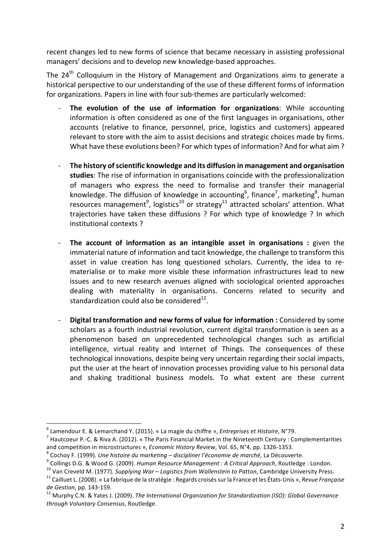recent changes led to new forms of science that became necessary in assisting professional managers' decisions and to develop new knowledge-based approaches.

The  $24<sup>th</sup>$  Colloquium in the History of Management and Organizations aims to generate a historical perspective to our understanding of the use of these different forms of information for organizations. Papers in line with four sub-themes are particularly welcomed:

- **The evolution of the use of information for organizations:** While accounting information is often considered as one of the first languages in organisations, other accounts (relative to finance, personnel, price, logistics and customers) appeared relevant to store with the aim to assist decisions and strategic choices made by firms. What have these evolutions been? For which types of information? And for what aim ?
- The history of scientific knowledge and its diffusion in management and organisation studies: The rise of information in organisations coincide with the professionalization of managers who express the need to formalise and transfer their managerial knowledge. The diffusion of knowledge in accounting<sup>6</sup>, finance<sup>7</sup>, marketing<sup>8</sup>, human resources management $^9$ , logistics<sup>10</sup> or strategy<sup>11</sup> attracted scholars' attention. What trajectories have taken these diffusions ? For which type of knowledge ? In which institutional contexts ?
- **The account of information as an intangible asset in organisations :** given the immaterial nature of information and tacit knowledge, the challenge to transform this asset in value creation has long questioned scholars. Currently, the idea to rematerialise or to make more visible these information infrastructures lead to new issues and to new research avenues aligned with sociological oriented approaches dealing with materiality in organisations. Concerns related to security and standardization could also be considered $^{12}$ .
- **Digital transformation and new forms of value for information :** Considered by some scholars as a fourth industrial revolution, current digital transformation is seen as a phenomenon based on unprecedented technological changes such as artificial intelligence, virtual reality and Internet of Things. The consequences of these technological innovations, despite being very uncertain regarding their social impacts, put the user at the heart of innovation processes providing value to his personal data and shaking traditional business models. To what extent are these current

<sup>&</sup>lt;sup>6</sup> Lamendour E. & Lemarchand Y. (2015). « La magie du chiffre », *Entreprises et Histoire*, N°79.<br><sup>7</sup> Hautcoeur P.-C. & Riva A. (2012). « The Paris Financial Market in the Nineteenth Century : Complementarities and competition in microstructures », Economic History Review, Vol. 65, N°4, pp. 1326-1353.<br><sup>8</sup> Cochoy F. (1999). *Une histoire du marketing – discipliner l'économie de marché*, La Découverte.<br><sup>9</sup> Collings D.G. & Wood G. (

*de Gestion, pp. 143-159.*<br><sup>12</sup> Murphy C.N. & Yates J. (2009). *The International Organization for Standardization (ISO): Global Governance* 

*through Voluntary Consensus*, Routledge.